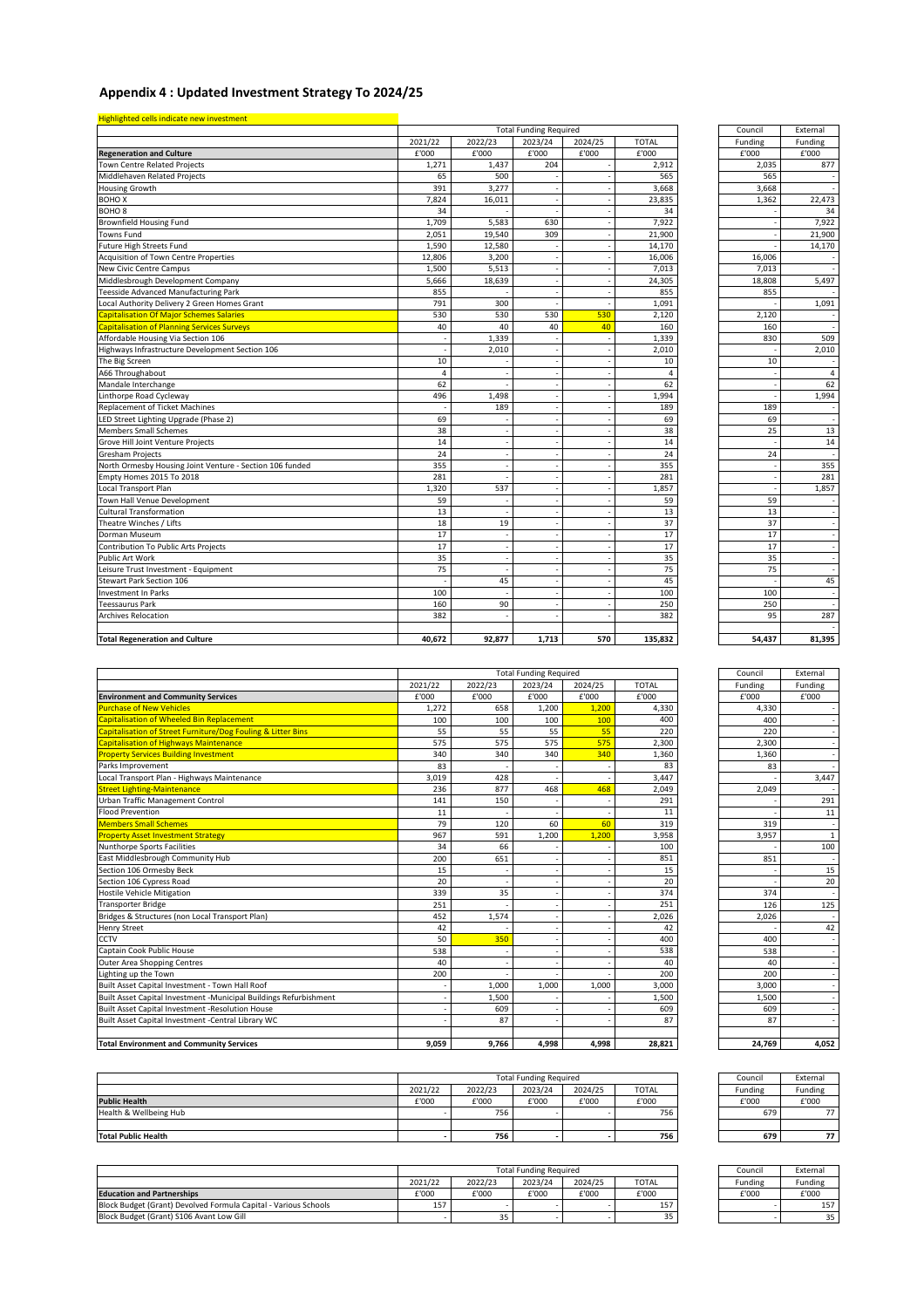| Council         | External |
|-----------------|----------|
| Funding         | Funding  |
| £'000           | £'000    |
| 2,035           | 877      |
| 565             |          |
| 3,668           |          |
| 1,362           | 22,473   |
|                 | 34       |
|                 | 7,922    |
|                 | 21,900   |
|                 | 14,170   |
| 16,006          |          |
| 7,013           |          |
| 18,808          | 5,497    |
| 855             |          |
|                 | 1,091    |
| 2,120           |          |
| 160             |          |
| 830             | 509      |
|                 | 2,010    |
| 10              |          |
|                 | 4        |
|                 | 62       |
|                 | 1,994    |
| 189             |          |
| 69              |          |
| 25              | 13       |
|                 | 14       |
| 24              |          |
|                 | 355      |
|                 | 281      |
|                 | 1,857    |
| 59              |          |
| 13              |          |
| 37              |          |
| 17              |          |
| $\overline{17}$ |          |
| 35              |          |
| 75              |          |
|                 | 45       |
| 100             |          |
| 250             |          |
| 95              | 287      |
|                 |          |
| 54,437          | 81,395   |
|                 |          |

| Council        | External       |
|----------------|----------------|
| <b>Funding</b> | <b>Funding</b> |
| f'000          | f'000          |
| ⊿ ੨੨∩          |                |

| 87    |              |
|-------|--------------|
| 609   |              |
| 1,500 |              |
| 3,000 |              |
| 200   |              |
| 40    |              |
| 538   |              |
| 400   |              |
|       | 42           |
| 2,026 |              |
| 126   | 125          |
| 374   |              |
|       | 20           |
|       | 15           |
| 851   | 100          |
| 3,957 | $\mathbf{1}$ |
| 319   |              |
|       | 11           |
|       | 291          |
| 2,049 |              |
|       | 3,447        |
| 83    |              |
| 1,360 |              |
| 2,300 |              |
| 220   |              |
| 400   |              |

| Highlighted cells indicate new investment                |         |         |                               |         |              |         |          |
|----------------------------------------------------------|---------|---------|-------------------------------|---------|--------------|---------|----------|
|                                                          |         |         | <b>Total Funding Required</b> |         |              | Council | External |
|                                                          | 2021/22 | 2022/23 | 2023/24                       | 2024/25 | <b>TOTAL</b> | Funding | Funding  |
| <b>Regeneration and Culture</b>                          | £'000   | £'000   | £'000                         | £'000   | £'000        | £'000   | £'000    |
| Town Centre Related Projects                             | 1,271   | 1,437   | 204                           |         | 2,912        | 2,035   | 877      |
| Middlehaven Related Projects                             | 65      | 500     |                               |         | 565          | 565     |          |
| <b>Housing Growth</b>                                    | 391     | 3,277   |                               |         | 3,668        | 3,668   |          |
| <b>BOHOX</b>                                             | 7,824   | 16,011  |                               |         | 23,835       | 1,362   | 22,473   |
| <b>BOHO<sub>8</sub></b>                                  | 34      |         |                               |         | 34           |         | 34       |
| <b>Brownfield Housing Fund</b>                           | 1,709   | 5,583   | 630                           |         | 7,922        |         | 7,922    |
| <b>Towns Fund</b>                                        | 2,051   | 19,540  | 309                           |         | 21,900       |         | 21,900   |
| Future High Streets Fund                                 | 1,590   | 12,580  |                               |         | 14,170       |         | 14,170   |
| Acquisition of Town Centre Properties                    | 12,806  | 3,200   |                               |         | 16,006       | 16,006  |          |
| New Civic Centre Campus                                  | 1,500   | 5,513   |                               |         | 7,013        | 7,013   |          |
| Middlesbrough Development Company                        | 5,666   | 18,639  |                               |         | 24,305       | 18,808  | 5,497    |
| <b>Teesside Advanced Manufacturing Park</b>              | 855     |         |                               |         | 855          | 855     |          |
| Local Authority Delivery 2 Green Homes Grant             | 791     | 300     |                               |         | 1,091        |         | 1,091    |
| Capitalisation Of Major Schemes Salaries                 | 530     | 530     | 530                           | 530     | 2,120        | 2,120   |          |
| Capitalisation of Planning Services Surveys              | 40      | 40      | 40                            | 40      | 160          | 160     |          |
| Affordable Housing Via Section 106                       |         | 1,339   |                               |         | 1,339        | 830     | 509      |
| Highways Infrastructure Development Section 106          |         | 2,010   |                               |         | 2,010        |         | 2,010    |
| The Big Screen                                           | 10      |         |                               |         | 10           | 10      |          |
| A66 Throughabout                                         | 4       |         |                               |         | Δ            |         | 4        |
| Mandale Interchange                                      | 62      |         |                               |         | 62           |         | 62       |
| Linthorpe Road Cycleway                                  | 496     | 1,498   |                               |         | 1,994        |         | 1,994    |
| <b>Replacement of Ticket Machines</b>                    |         | 189     |                               |         | 189          | 189     |          |
| LED Street Lighting Upgrade (Phase 2)                    | 69      |         |                               |         | 69           | 69      |          |
| Members Small Schemes                                    | 38      |         |                               |         | 38           | 25      | 13       |
| Grove Hill Joint Venture Projects                        | 14      |         |                               |         | 14           |         | 14       |
| <b>Gresham Projects</b>                                  | 24      |         |                               |         | 24           | 24      |          |
| North Ormesby Housing Joint Venture - Section 106 funded | 355     |         |                               |         | 355          |         | 355      |
| Empty Homes 2015 To 2018                                 | 281     |         |                               |         | 281          |         | 281      |
| Local Transport Plan                                     | 1,320   | 537     |                               |         | 1,857        |         | 1,857    |
| Town Hall Venue Development                              | 59      |         |                               |         | 59           | 59      |          |
| <b>Cultural Transformation</b>                           | 13      |         |                               |         | 13           | 13      |          |
| Theatre Winches / Lifts                                  | 18      | 19      |                               |         | 37           | 37      |          |
| Dorman Museum                                            | 17      |         |                               |         | 17           | 17      |          |
| Contribution To Public Arts Projects                     | 17      |         |                               |         | 17           | 17      |          |
| Public Art Work                                          | 35      |         |                               |         | 35           | 35      |          |
| Leisure Trust Investment - Equipment                     | 75      |         |                               |         | 75           | 75      |          |
| <b>Stewart Park Section 106</b>                          |         | 45      |                               |         | 45           |         | 45       |
| Investment In Parks                                      | 100     |         |                               |         | 100          | 100     |          |
| <b>Teessaurus Park</b>                                   | 160     | 90      |                               |         | 250          | 250     |          |
| <b>Archives Relocation</b>                               | 382     |         |                               |         | 382          | 95      | 287      |
|                                                          |         |         |                               |         |              |         |          |
| <b>Total Regeneration and Culture</b>                    | 40,672  | 92,877  | 1,713                         | 570     | 135,832      | 54,437  | 81,395   |

|                                                                   |         | <b>Total Funding Required</b> | Council | External |              |         |              |
|-------------------------------------------------------------------|---------|-------------------------------|---------|----------|--------------|---------|--------------|
|                                                                   | 2021/22 | 2022/23                       | 2023/24 | 2024/25  | <b>TOTAL</b> | Funding | Funding      |
| <b>Environment and Community Services</b>                         | £'000   | £'000                         | £'000   | £'000    | £'000        | £'000   | £'000        |
| <b>Purchase of New Vehicles</b>                                   | 1,272   | 658                           | 1,200   | 1,200    | 4,330        | 4,330   |              |
| Capitalisation of Wheeled Bin Replacement                         | 100     | 100                           | 100     | 100      | 400          | 400     |              |
| Capitalisation of Street Furniture/Dog Fouling & Litter Bins      | 55      | 55                            | 55      | 55       | 220          | 220     |              |
| Capitalisation of Highways Maintenance                            | 575     | 575                           | 575     | 575      | 2,300        | 2,300   |              |
| <b>Property Services Building Investment</b>                      | 340     | 340                           | 340     | 340      | 1,360        | 1,360   |              |
| Parks Improvement                                                 | 83      |                               |         |          | 83           | 83      |              |
| Local Transport Plan - Highways Maintenance                       | 3,019   | 428                           |         |          | 3,447        |         | 3,447        |
| <b>Street Lighting-Maintenance</b>                                | 236     | 877                           | 468     | 468      | 2,049        | 2,049   |              |
| <b>Urban Traffic Management Control</b>                           | 141     | 150                           |         |          | 291          |         | 291          |
| <b>Flood Prevention</b>                                           | 11      |                               |         |          | 11           |         | 11           |
| <b>Members Small Schemes</b>                                      | 79      | 120                           | 60      | 60       | 319          | 319     |              |
| <b>Property Asset Investment Strategy</b>                         | 967     | 591                           | 1,200   | 1,200    | 3,958        | 3,957   | $\mathbf{1}$ |
| Nunthorpe Sports Facilities                                       | 34      | 66                            |         |          | 100          |         | 100          |
| East Middlesbrough Community Hub                                  | 200     | 651                           |         |          | 851          | 851     |              |
| Section 106 Ormesby Beck                                          | 15      |                               |         |          | 15           |         | 15           |
| Section 106 Cypress Road                                          | 20      |                               |         |          | 20           |         | 20           |
| Hostile Vehicle Mitigation                                        | 339     | 35                            |         |          | 374          | 374     |              |
| <b>Transporter Bridge</b>                                         | 251     |                               |         |          | 251          | 126     | 125          |
| Bridges & Structures (non Local Transport Plan)                   | 452     | 1,574                         |         |          | 2,026        | 2,026   |              |
| <b>Henry Street</b>                                               | 42      |                               |         |          | 42           |         | 42           |
| <b>CCTV</b>                                                       | 50      | 350                           |         |          | 400          | 400     |              |
| Captain Cook Public House                                         | 538     |                               |         |          | 538          | 538     |              |
| Outer Area Shopping Centres                                       | 40      |                               |         |          | 40           | 40      |              |
| Lighting up the Town                                              | 200     |                               |         |          | 200          | 200     |              |
| Built Asset Capital Investment - Town Hall Roof                   |         | 1,000                         | 1,000   | 1,000    | 3,000        | 3,000   |              |
| Built Asset Capital Investment -Municipal Buildings Refurbishment |         | 1,500                         |         |          | 1,500        | 1,500   |              |
| Built Asset Capital Investment - Resolution House                 |         | 609                           |         |          | 609          | 609     |              |
| Built Asset Capital Investment - Central Library WC               |         | 87                            |         |          | 87           | 87      |              |
| <b>Total Environment and Community Services</b>                   | 9,059   | 9,766                         | 4,998   | 4,998    | 28,821       | 24,769  | 4,052        |

| Council        | External       |
|----------------|----------------|
| <b>Funding</b> | Funding        |
| £'000          | £'000          |
| 679            | $\prime\prime$ |
|                |                |
| 679            | 77             |

| Council        | External       |
|----------------|----------------|
| <b>Funding</b> | <b>Funding</b> |
| £'000          | £'000          |
|                | 157            |
|                | ╕              |

|                        | <b>Total Funding Required</b> |         |         |         |              | Council | External |
|------------------------|-------------------------------|---------|---------|---------|--------------|---------|----------|
|                        | 2021/22                       | 2022/23 | 2023/24 | 2024/25 | <b>TOTAL</b> | Funding | Funding  |
| <b>Public Health</b>   | £'000                         | £'000   | £'000   | £'000   | £'000        | £'000   | £'000    |
| Health & Wellbeing Hub |                               | 756     |         |         | 756          | 679     | 77       |
|                        |                               |         |         |         |              |         |          |
| Total Public Health    |                               | 756     |         |         | 756          | 679     | 77       |

|                                                                 | <b>Total Funding Required</b> |         |         |         |              | Counci         | External       |
|-----------------------------------------------------------------|-------------------------------|---------|---------|---------|--------------|----------------|----------------|
|                                                                 | 2021/22                       | 2022/23 | 2023/24 | 2024/25 | <b>TOTAL</b> | <b>Funding</b> | <b>Funding</b> |
| <b>Education and Partnerships</b>                               | £'000                         | £'000   | £'000   | £'000   | £'000        | £'000          | £'000          |
| Block Budget (Grant) Devolved Formula Capital - Various Schools | 157                           |         |         |         | 157          |                | 157            |
| Block Budget (Grant) S106 Avant Low Gill                        |                               |         |         |         | 35           |                | 35             |

## **Appendix 4 : Updated Investment Strategy To 2024/25**